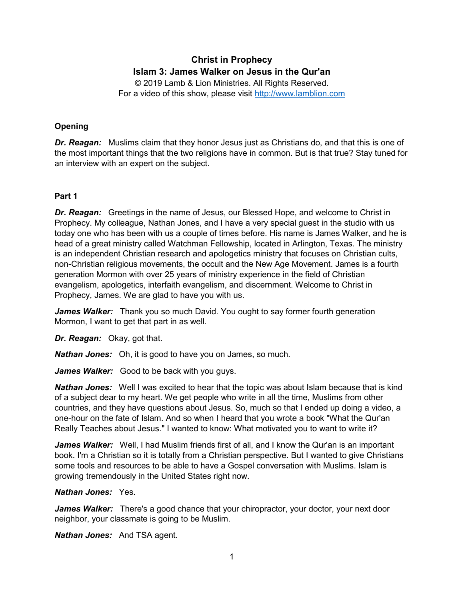# **Christ in Prophecy Islam 3: James Walker on Jesus in the Qur'an**

© 2019 Lamb & Lion Ministries. All Rights Reserved. For a video of this show, please visit [http://www.lamblion.com](http://www.lamblion.com/)

## **Opening**

*Dr. Reagan:* Muslims claim that they honor Jesus just as Christians do, and that this is one of the most important things that the two religions have in common. But is that true? Stay tuned for an interview with an expert on the subject.

## **Part 1**

*Dr. Reagan:* Greetings in the name of Jesus, our Blessed Hope, and welcome to Christ in Prophecy. My colleague, Nathan Jones, and I have a very special guest in the studio with us today one who has been with us a couple of times before. His name is James Walker, and he is head of a great ministry called Watchman Fellowship, located in Arlington, Texas. The ministry is an independent Christian research and apologetics ministry that focuses on Christian cults, non-Christian religious movements, the occult and the New Age Movement. James is a fourth generation Mormon with over 25 years of ministry experience in the field of Christian evangelism, apologetics, interfaith evangelism, and discernment. Welcome to Christ in Prophecy, James. We are glad to have you with us.

*James Walker:* Thank you so much David. You ought to say former fourth generation Mormon, I want to get that part in as well.

*Dr. Reagan:* Okay, got that.

*Nathan Jones:* Oh, it is good to have you on James, so much.

*James Walker:* Good to be back with you guys.

*Nathan Jones:* Well I was excited to hear that the topic was about Islam because that is kind of a subject dear to my heart. We get people who write in all the time, Muslims from other countries, and they have questions about Jesus. So, much so that I ended up doing a video, a one-hour on the fate of Islam. And so when I heard that you wrote a book "What the Qur'an Really Teaches about Jesus." I wanted to know: What motivated you to want to write it?

*James Walker:* Well, I had Muslim friends first of all, and I know the Qur'an is an important book. I'm a Christian so it is totally from a Christian perspective. But I wanted to give Christians some tools and resources to be able to have a Gospel conversation with Muslims. Islam is growing tremendously in the United States right now.

## *Nathan Jones:* Yes.

*James Walker:* There's a good chance that your chiropractor, your doctor, your next door neighbor, your classmate is going to be Muslim.

*Nathan Jones:* And TSA agent.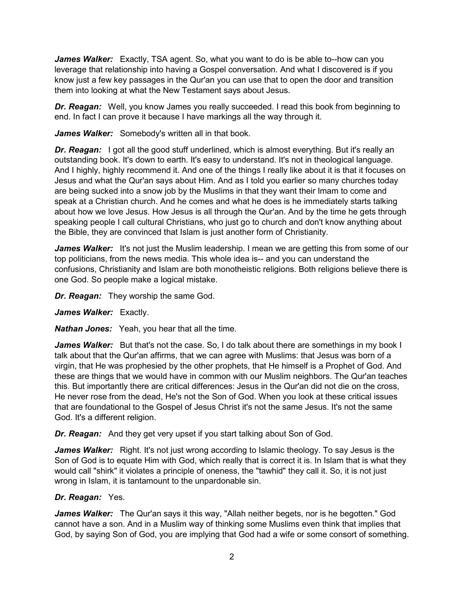*James Walker:* Exactly, TSA agent. So, what you want to do is be able to--how can you leverage that relationship into having a Gospel conversation. And what I discovered is if you know just a few key passages in the Qur'an you can use that to open the door and transition them into looking at what the New Testament says about Jesus.

*Dr. Reagan:* Well, you know James you really succeeded. I read this book from beginning to end. In fact I can prove it because I have markings all the way through it.

James Walker: Somebody's written all in that book.

**Dr. Reagan:** I got all the good stuff underlined, which is almost everything. But it's really an outstanding book. It's down to earth. It's easy to understand. It's not in theological language. And I highly, highly recommend it. And one of the things I really like about it is that it focuses on Jesus and what the Qur'an says about Him. And as I told you earlier so many churches today are being sucked into a snow job by the Muslims in that they want their Imam to come and speak at a Christian church. And he comes and what he does is he immediately starts talking about how we love Jesus. How Jesus is all through the Qur'an. And by the time he gets through speaking people I call cultural Christians, who just go to church and don't know anything about the Bible, they are convinced that Islam is just another form of Christianity.

*James Walker:* It's not just the Muslim leadership. I mean we are getting this from some of our top politicians, from the news media. This whole idea is-- and you can understand the confusions, Christianity and Islam are both monotheistic religions. Both religions believe there is one God. So people make a logical mistake.

*Dr. Reagan:* They worship the same God.

*James Walker:* Exactly.

*Nathan Jones:* Yeah, you hear that all the time.

*James Walker:* But that's not the case. So, I do talk about there are somethings in my book I talk about that the Qur'an affirms, that we can agree with Muslims: that Jesus was born of a virgin, that He was prophesied by the other prophets, that He himself is a Prophet of God. And these are things that we would have in common with our Muslim neighbors. The Qur'an teaches this. But importantly there are critical differences: Jesus in the Qur'an did not die on the cross, He never rose from the dead, He's not the Son of God. When you look at these critical issues that are foundational to the Gospel of Jesus Christ it's not the same Jesus. It's not the same God. It's a different religion.

*Dr. Reagan:* And they get very upset if you start talking about Son of God.

*James Walker:* Right. It's not just wrong according to Islamic theology. To say Jesus is the Son of God is to equate Him with God, which really that is correct it is. In Islam that is what they would call "shirk" it violates a principle of oneness, the "tawhid" they call it. So, it is not just wrong in Islam, it is tantamount to the unpardonable sin.

# *Dr. Reagan:* Yes.

*James Walker:* The Qur'an says it this way, "Allah neither begets, nor is he begotten." God cannot have a son. And in a Muslim way of thinking some Muslims even think that implies that God, by saying Son of God, you are implying that God had a wife or some consort of something.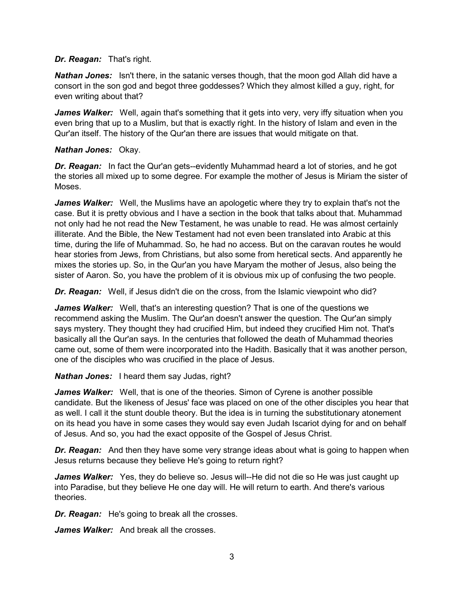#### *Dr. Reagan:* That's right.

*Nathan Jones:* Isn't there, in the satanic verses though, that the moon god Allah did have a consort in the son god and begot three goddesses? Which they almost killed a guy, right, for even writing about that?

*James Walker:* Well, again that's something that it gets into very, very iffy situation when you even bring that up to a Muslim, but that is exactly right. In the history of Islam and even in the Qur'an itself. The history of the Qur'an there are issues that would mitigate on that.

#### *Nathan Jones:* Okay.

**Dr. Reagan:** In fact the Qur'an gets--evidently Muhammad heard a lot of stories, and he got the stories all mixed up to some degree. For example the mother of Jesus is Miriam the sister of Moses.

*James Walker:* Well, the Muslims have an apologetic where they try to explain that's not the case. But it is pretty obvious and I have a section in the book that talks about that. Muhammad not only had he not read the New Testament, he was unable to read. He was almost certainly illiterate. And the Bible, the New Testament had not even been translated into Arabic at this time, during the life of Muhammad. So, he had no access. But on the caravan routes he would hear stories from Jews, from Christians, but also some from heretical sects. And apparently he mixes the stories up. So, in the Qur'an you have Maryam the mother of Jesus, also being the sister of Aaron. So, you have the problem of it is obvious mix up of confusing the two people.

*Dr. Reagan:* Well, if Jesus didn't die on the cross, from the Islamic viewpoint who did?

*James Walker:* Well, that's an interesting question? That is one of the questions we recommend asking the Muslim. The Qur'an doesn't answer the question. The Qur'an simply says mystery. They thought they had crucified Him, but indeed they crucified Him not. That's basically all the Qur'an says. In the centuries that followed the death of Muhammad theories came out, some of them were incorporated into the Hadith. Basically that it was another person, one of the disciples who was crucified in the place of Jesus.

*Nathan Jones:* I heard them say Judas, right?

*James Walker:* Well, that is one of the theories. Simon of Cyrene is another possible candidate. But the likeness of Jesus' face was placed on one of the other disciples you hear that as well. I call it the stunt double theory. But the idea is in turning the substitutionary atonement on its head you have in some cases they would say even Judah Iscariot dying for and on behalf of Jesus. And so, you had the exact opposite of the Gospel of Jesus Christ.

*Dr. Reagan:* And then they have some very strange ideas about what is going to happen when Jesus returns because they believe He's going to return right?

*James Walker:* Yes, they do believe so. Jesus will--He did not die so He was just caught up into Paradise, but they believe He one day will. He will return to earth. And there's various theories.

*Dr. Reagan:* He's going to break all the crosses.

*James Walker:* And break all the crosses.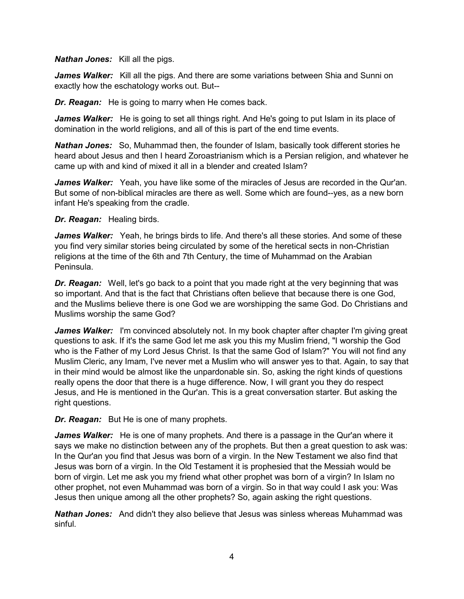#### *Nathan Jones:* Kill all the pigs.

*James Walker:* Kill all the pigs. And there are some variations between Shia and Sunni on exactly how the eschatology works out. But--

*Dr. Reagan:* He is going to marry when He comes back.

*James Walker:* He is going to set all things right. And He's going to put Islam in its place of domination in the world religions, and all of this is part of the end time events.

*Nathan Jones:* So, Muhammad then, the founder of Islam, basically took different stories he heard about Jesus and then I heard Zoroastrianism which is a Persian religion, and whatever he came up with and kind of mixed it all in a blender and created Islam?

James Walker: Yeah, you have like some of the miracles of Jesus are recorded in the Qur'an. But some of non-biblical miracles are there as well. Some which are found--yes, as a new born infant He's speaking from the cradle.

*Dr. Reagan:* Healing birds.

*James Walker:* Yeah, he brings birds to life. And there's all these stories. And some of these you find very similar stories being circulated by some of the heretical sects in non-Christian religions at the time of the 6th and 7th Century, the time of Muhammad on the Arabian Peninsula.

*Dr. Reagan:* Well, let's go back to a point that you made right at the very beginning that was so important. And that is the fact that Christians often believe that because there is one God, and the Muslims believe there is one God we are worshipping the same God. Do Christians and Muslims worship the same God?

*James Walker:* I'm convinced absolutely not. In my book chapter after chapter I'm giving great questions to ask. If it's the same God let me ask you this my Muslim friend, "I worship the God who is the Father of my Lord Jesus Christ. Is that the same God of Islam?" You will not find any Muslim Cleric, any Imam, I've never met a Muslim who will answer yes to that. Again, to say that in their mind would be almost like the unpardonable sin. So, asking the right kinds of questions really opens the door that there is a huge difference. Now, I will grant you they do respect Jesus, and He is mentioned in the Qur'an. This is a great conversation starter. But asking the right questions.

*Dr. Reagan:* But He is one of many prophets.

*James Walker:* He is one of many prophets. And there is a passage in the Qur'an where it says we make no distinction between any of the prophets. But then a great question to ask was: In the Qur'an you find that Jesus was born of a virgin. In the New Testament we also find that Jesus was born of a virgin. In the Old Testament it is prophesied that the Messiah would be born of virgin. Let me ask you my friend what other prophet was born of a virgin? In Islam no other prophet, not even Muhammad was born of a virgin. So in that way could I ask you: Was Jesus then unique among all the other prophets? So, again asking the right questions.

*Nathan Jones:* And didn't they also believe that Jesus was sinless whereas Muhammad was sinful.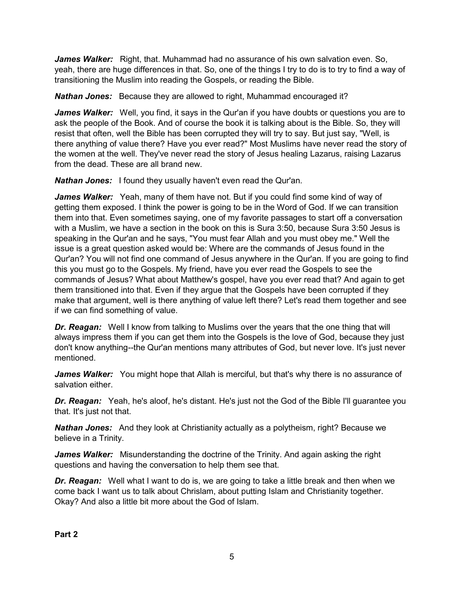*James Walker:* Right, that. Muhammad had no assurance of his own salvation even. So, yeah, there are huge differences in that. So, one of the things I try to do is to try to find a way of transitioning the Muslim into reading the Gospels, or reading the Bible.

*Nathan Jones:* Because they are allowed to right, Muhammad encouraged it?

*James Walker:* Well, you find, it says in the Qur'an if you have doubts or questions you are to ask the people of the Book. And of course the book it is talking about is the Bible. So, they will resist that often, well the Bible has been corrupted they will try to say. But just say, "Well, is there anything of value there? Have you ever read?" Most Muslims have never read the story of the women at the well. They've never read the story of Jesus healing Lazarus, raising Lazarus from the dead. These are all brand new.

*Nathan Jones:* I found they usually haven't even read the Qur'an.

*James Walker:* Yeah, many of them have not. But if you could find some kind of way of getting them exposed. I think the power is going to be in the Word of God. If we can transition them into that. Even sometimes saying, one of my favorite passages to start off a conversation with a Muslim, we have a section in the book on this is Sura 3:50, because Sura 3:50 Jesus is speaking in the Qur'an and he says, "You must fear Allah and you must obey me." Well the issue is a great question asked would be: Where are the commands of Jesus found in the Qur'an? You will not find one command of Jesus anywhere in the Qur'an. If you are going to find this you must go to the Gospels. My friend, have you ever read the Gospels to see the commands of Jesus? What about Matthew's gospel, have you ever read that? And again to get them transitioned into that. Even if they argue that the Gospels have been corrupted if they make that argument, well is there anything of value left there? Let's read them together and see if we can find something of value.

*Dr. Reagan:* Well I know from talking to Muslims over the years that the one thing that will always impress them if you can get them into the Gospels is the love of God, because they just don't know anything--the Qur'an mentions many attributes of God, but never love. It's just never mentioned.

James Walker: You might hope that Allah is merciful, but that's why there is no assurance of salvation either.

*Dr. Reagan:* Yeah, he's aloof, he's distant. He's just not the God of the Bible I'll guarantee you that. It's just not that.

*Nathan Jones:* And they look at Christianity actually as a polytheism, right? Because we believe in a Trinity.

*James Walker:* Misunderstanding the doctrine of the Trinity. And again asking the right questions and having the conversation to help them see that.

*Dr. Reagan:* Well what I want to do is, we are going to take a little break and then when we come back I want us to talk about Chrislam, about putting Islam and Christianity together. Okay? And also a little bit more about the God of Islam.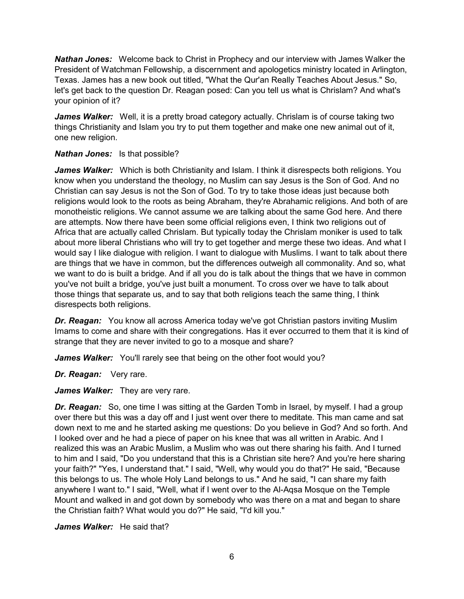*Nathan Jones:* Welcome back to Christ in Prophecy and our interview with James Walker the President of Watchman Fellowship, a discernment and apologetics ministry located in Arlington, Texas. James has a new book out titled, "What the Qur'an Really Teaches About Jesus." So, let's get back to the question Dr. Reagan posed: Can you tell us what is Chrislam? And what's your opinion of it?

*James Walker:* Well, it is a pretty broad category actually. Chrislam is of course taking two things Christianity and Islam you try to put them together and make one new animal out of it, one new religion.

## *Nathan Jones:* Is that possible?

James Walker: Which is both Christianity and Islam. I think it disrespects both religions. You know when you understand the theology, no Muslim can say Jesus is the Son of God. And no Christian can say Jesus is not the Son of God. To try to take those ideas just because both religions would look to the roots as being Abraham, they're Abrahamic religions. And both of are monotheistic religions. We cannot assume we are talking about the same God here. And there are attempts. Now there have been some official religions even, I think two religions out of Africa that are actually called Chrislam. But typically today the Chrislam moniker is used to talk about more liberal Christians who will try to get together and merge these two ideas. And what I would say I like dialogue with religion. I want to dialogue with Muslims. I want to talk about there are things that we have in common, but the differences outweigh all commonality. And so, what we want to do is built a bridge. And if all you do is talk about the things that we have in common you've not built a bridge, you've just built a monument. To cross over we have to talk about those things that separate us, and to say that both religions teach the same thing, I think disrespects both religions.

*Dr. Reagan:* You know all across America today we've got Christian pastors inviting Muslim Imams to come and share with their congregations. Has it ever occurred to them that it is kind of strange that they are never invited to go to a mosque and share?

James Walker: You'll rarely see that being on the other foot would you?

*Dr. Reagan:* Very rare.

James Walker: They are very rare.

**Dr. Reagan:** So, one time I was sitting at the Garden Tomb in Israel, by myself. I had a group over there but this was a day off and I just went over there to meditate. This man came and sat down next to me and he started asking me questions: Do you believe in God? And so forth. And I looked over and he had a piece of paper on his knee that was all written in Arabic. And I realized this was an Arabic Muslim, a Muslim who was out there sharing his faith. And I turned to him and I said, "Do you understand that this is a Christian site here? And you're here sharing your faith?" "Yes, I understand that." I said, "Well, why would you do that?" He said, "Because this belongs to us. The whole Holy Land belongs to us." And he said, "I can share my faith anywhere I want to." I said, "Well, what if I went over to the Al-Aqsa Mosque on the Temple Mount and walked in and got down by somebody who was there on a mat and began to share the Christian faith? What would you do?" He said, "I'd kill you."

*James Walker:* He said that?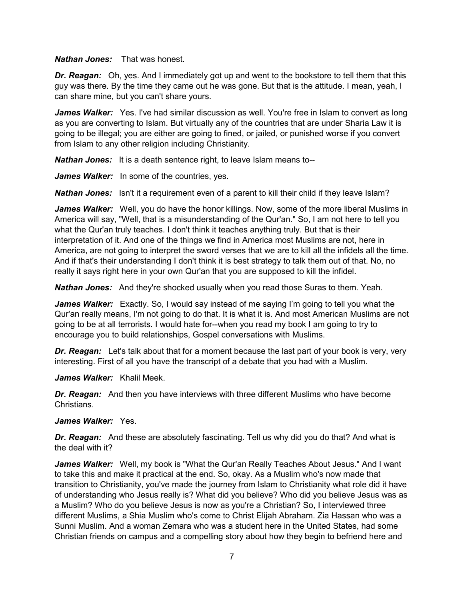*Nathan Jones:* That was honest.

*Dr. Reagan:* Oh, yes. And I immediately got up and went to the bookstore to tell them that this guy was there. By the time they came out he was gone. But that is the attitude. I mean, yeah, I can share mine, but you can't share yours.

*James Walker:* Yes. I've had similar discussion as well. You're free in Islam to convert as long as you are converting to Islam. But virtually any of the countries that are under Sharia Law it is going to be illegal; you are either are going to fined, or jailed, or punished worse if you convert from Islam to any other religion including Christianity.

*Nathan Jones:* It is a death sentence right, to leave Islam means to--

*James Walker:* In some of the countries, yes.

**Nathan Jones:** Isn't it a requirement even of a parent to kill their child if they leave Islam?

*James Walker:* Well, you do have the honor killings. Now, some of the more liberal Muslims in America will say, "Well, that is a misunderstanding of the Qur'an." So, I am not here to tell you what the Qur'an truly teaches. I don't think it teaches anything truly. But that is their interpretation of it. And one of the things we find in America most Muslims are not, here in America, are not going to interpret the sword verses that we are to kill all the infidels all the time. And if that's their understanding I don't think it is best strategy to talk them out of that. No, no really it says right here in your own Qur'an that you are supposed to kill the infidel.

*Nathan Jones:* And they're shocked usually when you read those Suras to them. Yeah.

*James Walker:* Exactly. So, I would say instead of me saying I'm going to tell you what the Qur'an really means, I'm not going to do that. It is what it is. And most American Muslims are not going to be at all terrorists. I would hate for--when you read my book I am going to try to encourage you to build relationships, Gospel conversations with Muslims.

*Dr. Reagan:* Let's talk about that for a moment because the last part of your book is very, very interesting. First of all you have the transcript of a debate that you had with a Muslim.

*James Walker:* Khalil Meek.

*Dr. Reagan:* And then you have interviews with three different Muslims who have become **Christians** 

## *James Walker:* Yes.

*Dr. Reagan:* And these are absolutely fascinating. Tell us why did you do that? And what is the deal with it?

*James Walker:* Well, my book is "What the Qur'an Really Teaches About Jesus." And I want to take this and make it practical at the end. So, okay. As a Muslim who's now made that transition to Christianity, you've made the journey from Islam to Christianity what role did it have of understanding who Jesus really is? What did you believe? Who did you believe Jesus was as a Muslim? Who do you believe Jesus is now as you're a Christian? So, I interviewed three different Muslims, a Shia Muslim who's come to Christ Elijah Abraham. Zia Hassan who was a Sunni Muslim. And a woman Zemara who was a student here in the United States, had some Christian friends on campus and a compelling story about how they begin to befriend here and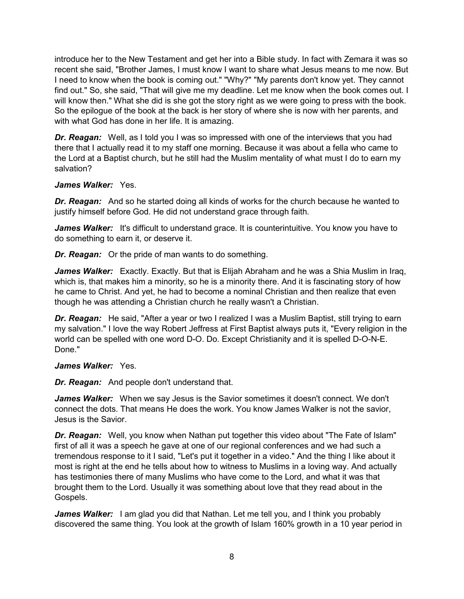introduce her to the New Testament and get her into a Bible study. In fact with Zemara it was so recent she said, "Brother James, I must know I want to share what Jesus means to me now. But I need to know when the book is coming out." "Why?" "My parents don't know yet. They cannot find out." So, she said, "That will give me my deadline. Let me know when the book comes out. I will know then." What she did is she got the story right as we were going to press with the book. So the epilogue of the book at the back is her story of where she is now with her parents, and with what God has done in her life. It is amazing.

*Dr. Reagan:* Well, as I told you I was so impressed with one of the interviews that you had there that I actually read it to my staff one morning. Because it was about a fella who came to the Lord at a Baptist church, but he still had the Muslim mentality of what must I do to earn my salvation?

## *James Walker:* Yes.

*Dr. Reagan:* And so he started doing all kinds of works for the church because he wanted to justify himself before God. He did not understand grace through faith.

*James Walker:* It's difficult to understand grace. It is counterintuitive. You know you have to do something to earn it, or deserve it.

*Dr. Reagan:* Or the pride of man wants to do something.

*James Walker:* Exactly. Exactly. But that is Elijah Abraham and he was a Shia Muslim in Iraq, which is, that makes him a minority, so he is a minority there. And it is fascinating story of how he came to Christ. And yet, he had to become a nominal Christian and then realize that even though he was attending a Christian church he really wasn't a Christian.

*Dr. Reagan:* He said, "After a year or two I realized I was a Muslim Baptist, still trying to earn my salvation." I love the way Robert Jeffress at First Baptist always puts it, "Every religion in the world can be spelled with one word D-O. Do. Except Christianity and it is spelled D-O-N-E. Done."

## *James Walker:* Yes.

*Dr. Reagan:* And people don't understand that.

*James Walker:* When we say Jesus is the Savior sometimes it doesn't connect. We don't connect the dots. That means He does the work. You know James Walker is not the savior, Jesus is the Savior.

*Dr. Reagan:* Well, you know when Nathan put together this video about "The Fate of Islam" first of all it was a speech he gave at one of our regional conferences and we had such a tremendous response to it I said, "Let's put it together in a video." And the thing I like about it most is right at the end he tells about how to witness to Muslims in a loving way. And actually has testimonies there of many Muslims who have come to the Lord, and what it was that brought them to the Lord. Usually it was something about love that they read about in the Gospels.

James Walker: I am glad you did that Nathan. Let me tell you, and I think you probably discovered the same thing. You look at the growth of Islam 160% growth in a 10 year period in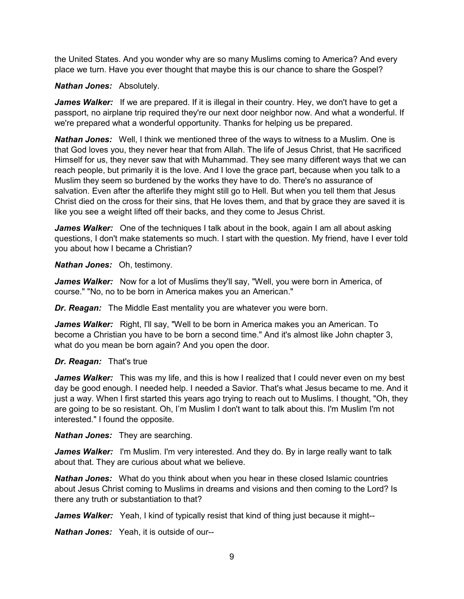the United States. And you wonder why are so many Muslims coming to America? And every place we turn. Have you ever thought that maybe this is our chance to share the Gospel?

#### *Nathan Jones:* Absolutely.

*James Walker:* If we are prepared. If it is illegal in their country. Hey, we don't have to get a passport, no airplane trip required they're our next door neighbor now. And what a wonderful. If we're prepared what a wonderful opportunity. Thanks for helping us be prepared.

*Nathan Jones:* Well, I think we mentioned three of the ways to witness to a Muslim. One is that God loves you, they never hear that from Allah. The life of Jesus Christ, that He sacrificed Himself for us, they never saw that with Muhammad. They see many different ways that we can reach people, but primarily it is the love. And I love the grace part, because when you talk to a Muslim they seem so burdened by the works they have to do. There's no assurance of salvation. Even after the afterlife they might still go to Hell. But when you tell them that Jesus Christ died on the cross for their sins, that He loves them, and that by grace they are saved it is like you see a weight lifted off their backs, and they come to Jesus Christ.

*James Walker:* One of the techniques I talk about in the book, again I am all about asking questions, I don't make statements so much. I start with the question. My friend, have I ever told you about how I became a Christian?

*Nathan Jones:* Oh, testimony.

*James Walker:* Now for a lot of Muslims they'll say, "Well, you were born in America, of course." "No, no to be born in America makes you an American."

*Dr. Reagan:* The Middle East mentality you are whatever you were born.

James Walker: Right, I'll say, "Well to be born in America makes you an American. To become a Christian you have to be born a second time." And it's almost like John chapter 3, what do you mean be born again? And you open the door.

## *Dr. Reagan:* That's true

*James Walker:* This was my life, and this is how I realized that I could never even on my best day be good enough. I needed help. I needed a Savior. That's what Jesus became to me. And it just a way. When I first started this years ago trying to reach out to Muslims. I thought, "Oh, they are going to be so resistant. Oh, I'm Muslim I don't want to talk about this. I'm Muslim I'm not interested." I found the opposite.

*Nathan Jones:* They are searching.

James Walker: I'm Muslim. I'm very interested. And they do. By in large really want to talk about that. They are curious about what we believe.

*Nathan Jones:* What do you think about when you hear in these closed Islamic countries about Jesus Christ coming to Muslims in dreams and visions and then coming to the Lord? Is there any truth or substantiation to that?

*James Walker:* Yeah, I kind of typically resist that kind of thing just because it might--

*Nathan Jones:* Yeah, it is outside of our--